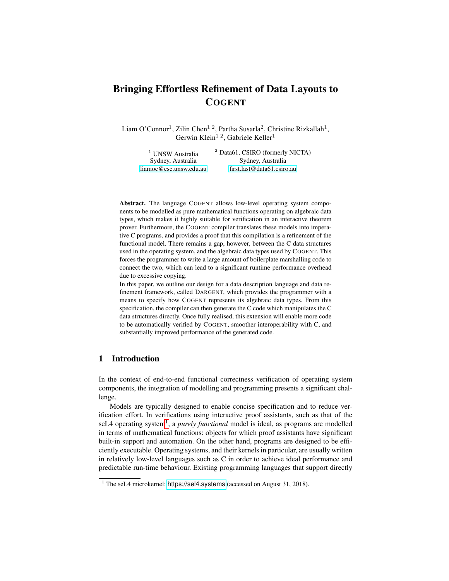# Bringing Effortless Refinement of Data Layouts to **COGENT**

Liam O'Connor<sup>1</sup>, Zilin Chen<sup>12</sup>, Partha Susarla<sup>2</sup>, Christine Rizkallah<sup>1</sup>, Gerwin Klein<sup>12</sup>, Gabriele Keller<sup>1</sup>

<sup>1</sup> UNSW Australia Sydney, Australia [liamoc@cse.unsw.edu.au](mailto:liamoc@cse.unsw.edu.au) <sup>2</sup> Data61, CSIRO (formerly NICTA) Sydney, Australia [first.last@data61.csiro.au](mailto:zilin.chen@data61.csiro.au)

Abstract. The language COGENT allows low-level operating system components to be modelled as pure mathematical functions operating on algebraic data types, which makes it highly suitable for verification in an interactive theorem prover. Furthermore, the COGENT compiler translates these models into imperative C programs, and provides a proof that this compilation is a refinement of the functional model. There remains a gap, however, between the C data structures used in the operating system, and the algebraic data types used by COGENT. This forces the programmer to write a large amount of boilerplate marshalling code to connect the two, which can lead to a significant runtime performance overhead due to excessive copying.

In this paper, we outline our design for a data description language and data refinement framework, called DARGENT, which provides the programmer with a means to specify how COGENT represents its algebraic data types. From this specification, the compiler can then generate the C code which manipulates the C data structures directly. Once fully realised, this extension will enable more code to be automatically verified by COGENT, smoother interoperability with C, and substantially improved performance of the generated code.

### 1 Introduction

In the context of end-to-end functional correctness verification of operating system components, the integration of modelling and programming presents a significant challenge.

Models are typically designed to enable concise specification and to reduce verification effort. In verifications using interactive proof assistants, such as that of the seL4 operating system<sup>[1](#page-0-0)</sup>, a *purely functional* model is ideal, as programs are modelled in terms of mathematical functions: objects for which proof assistants have significant built-in support and automation. On the other hand, programs are designed to be efficiently executable. Operating systems, and their kernels in particular, are usually written in relatively low-level languages such as C in order to achieve ideal performance and predictable run-time behaviour. Existing programming languages that support directly

<span id="page-0-0"></span><sup>&</sup>lt;sup>1</sup> The seL4 microkernel: <https://sel4.systems> (accessed on August 31, 2018).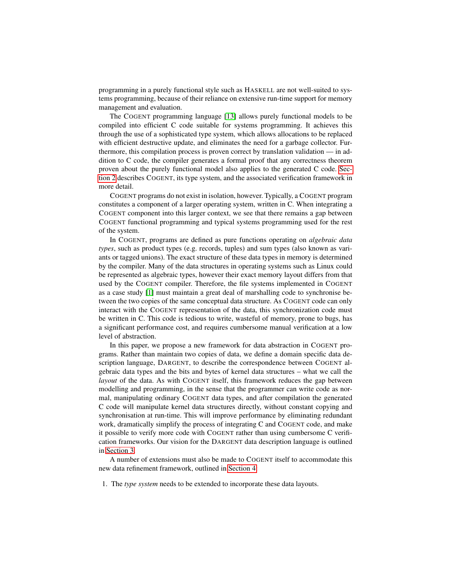programming in a purely functional style such as HASKELL are not well-suited to systems programming, because of their reliance on extensive run-time support for memory management and evaluation.

The COGENT programming language [\[13\]](#page-15-0) allows purely functional models to be compiled into efficient C code suitable for systems programming. It achieves this through the use of a sophisticated type system, which allows allocations to be replaced with efficient destructive update, and eliminates the need for a garbage collector. Furthermore, this compilation process is proven correct by translation validation — in addition to C code, the compiler generates a formal proof that any correctness theorem proven about the purely functional model also applies to the generated C code. [Sec](#page-2-0)[tion 2](#page-2-0) describes COGENT, its type system, and the associated verification framework in more detail.

COGENT programs do not exist in isolation, however. Typically, a COGENT program constitutes a component of a larger operating system, written in C. When integrating a COGENT component into this larger context, we see that there remains a gap between COGENT functional programming and typical systems programming used for the rest of the system.

In COGENT, programs are defined as pure functions operating on *algebraic data types*, such as product types (e.g. records, tuples) and sum types (also known as variants or tagged unions). The exact structure of these data types in memory is determined by the compiler. Many of the data structures in operating systems such as Linux could be represented as algebraic types, however their exact memory layout differs from that used by the COGENT compiler. Therefore, the file systems implemented in COGENT as a case study [\[1\]](#page-14-0) must maintain a great deal of marshalling code to synchronise between the two copies of the same conceptual data structure. As COGENT code can only interact with the COGENT representation of the data, this synchronization code must be written in C. This code is tedious to write, wasteful of memory, prone to bugs, has a significant performance cost, and requires cumbersome manual verification at a low level of abstraction.

In this paper, we propose a new framework for data abstraction in COGENT programs. Rather than maintain two copies of data, we define a domain specific data description language, DARGENT, to describe the correspondence between COGENT algebraic data types and the bits and bytes of kernel data structures – what we call the *layout* of the data. As with COGENT itself, this framework reduces the gap between modelling and programming, in the sense that the programmer can write code as normal, manipulating ordinary COGENT data types, and after compilation the generated C code will manipulate kernel data structures directly, without constant copying and synchronisation at run-time. This will improve performance by eliminating redundant work, dramatically simplify the process of integrating C and COGENT code, and make it possible to verify more code with COGENT rather than using cumbersome C verification frameworks. Our vision for the DARGENT data description language is outlined in [Section 3.](#page-7-0)

A number of extensions must also be made to COGENT itself to accommodate this new data refinement framework, outlined in [Section 4:](#page-9-0)

1. The *type system* needs to be extended to incorporate these data layouts.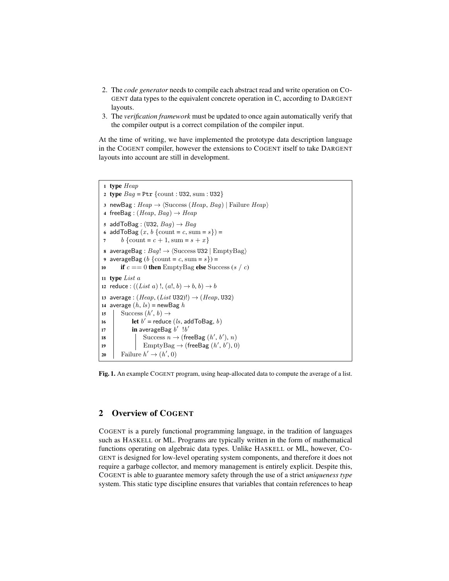- 2. The *code generator* needs to compile each abstract read and write operation on CO-GENT data types to the equivalent concrete operation in C, according to DARGENT layouts.
- 3. The *verification framework* must be updated to once again automatically verify that the compiler output is a correct compilation of the compiler input.

At the time of writing, we have implemented the prototype data description language in the COGENT compiler, however the extensions to COGENT itself to take DARGENT layouts into account are still in development.

```
1 type Heap
2 type Bag = Ptr {count : U32, sum : U32}
3 newBag : Heap \rightarrow \langle Success (Heap, Bag) | Failure \;Heap \rangle4 freeBag: (Heap, Bag) \rightarrowHeap5 addToBag : (U32, Bag) \rightarrow Bag6 addToBag (x, b \{count = c, sum = s\}) =
7 b {count = c + 1, sum = s + x}
8 averageBag : Bag! \rightarrow \langle Success \, \text{U32} \mid \text{EmptyBag} \rangle9 averageBag (b \{count = c, sum = s\}) =
10 if c == 0 then EmptyBag else Success (s / c)11 type List a
12 reduce : ((List a)!, (a!, b) \rightarrow b, b) \rightarrow b13 average : (Heap, (List \, \text{U32})!) \rightarrow (Heap, \, \text{U32})14 average (h, ls) = newBag h15 | Success (h', b) \rightarrow16 let b' = reduce (ls, addToBag, b)
17 \qquad \qquad in averageBag b' !b'18 | Success n \to (\text{freeBag } (h', b'), n)19 \Box EmptyBag \rightarrow (freeBag (h', b'), 0)20 Failure h' \to (h', 0)
```
<span id="page-2-1"></span>Fig. 1. An example COGENT program, using heap-allocated data to compute the average of a list.

### <span id="page-2-0"></span>2 Overview of COGENT

COGENT is a purely functional programming language, in the tradition of languages such as HASKELL or ML. Programs are typically written in the form of mathematical functions operating on algebraic data types. Unlike HASKELL or ML, however, CO-GENT is designed for low-level operating system components, and therefore it does not require a garbage collector, and memory management is entirely explicit. Despite this, COGENT is able to guarantee memory safety through the use of a strict *uniqueness type* system. This static type discipline ensures that variables that contain references to heap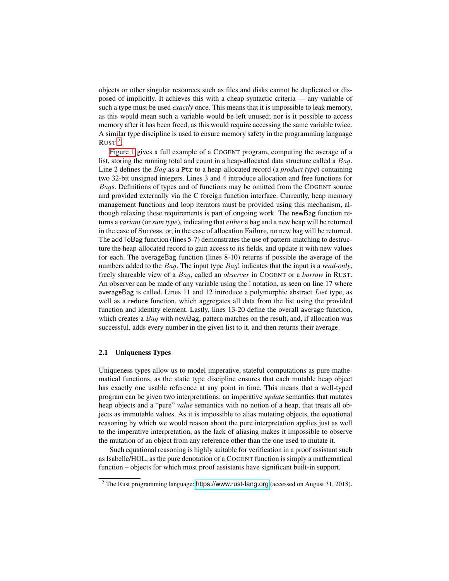objects or other singular resources such as files and disks cannot be duplicated or disposed of implicitly. It achieves this with a cheap syntactic criteria — any variable of such a type must be used *exactly* once. This means that it is impossible to leak memory, as this would mean such a variable would be left unused; nor is it possible to access memory after it has been freed, as this would require accessing the same variable twice. A similar type discipline is used to ensure memory safety in the programming language  $R$ ust $^2$  $^2$ .

[Figure 1](#page-2-1) gives a full example of a COGENT program, computing the average of a list, storing the running total and count in a heap-allocated data structure called a Bag. Line 2 defines the Bag as a Ptr to a heap-allocated record (a *product type*) containing two 32-bit unsigned integers. Lines 3 and 4 introduce allocation and free functions for Bags. Definitions of types and of functions may be omitted from the COGENT source and provided externally via the C foreign function interface. Currently, heap memory management functions and loop iterators must be provided using this mechanism, although relaxing these requirements is part of ongoing work. The newBag function returns a *variant* (or *sum type*), indicating that *either* a bag and a new heap will be returned in the case of Success, or, in the case of allocation Failure, no new bag will be returned. The addToBag function (lines 5-7) demonstrates the use of pattern-matching to destructure the heap-allocated record to gain access to its fields, and update it with new values for each. The averageBag function (lines 8-10) returns if possible the average of the numbers added to the Bag. The input type Bag! indicates that the input is a *read-only*, freely shareable view of a Bag, called an *observer* in COGENT or a *borrow* in RUST. An observer can be made of any variable using the ! notation, as seen on line 17 where averageBag is called. Lines 11 and 12 introduce a polymorphic abstract List type, as well as a reduce function, which aggregates all data from the list using the provided function and identity element. Lastly, lines 13-20 define the overall average function, which creates a Bag with newBag, pattern matches on the result, and, if allocation was successful, adds every number in the given list to it, and then returns their average.

#### 2.1 Uniqueness Types

Uniqueness types allow us to model imperative, stateful computations as pure mathematical functions, as the static type discipline ensures that each mutable heap object has exactly one usable reference at any point in time. This means that a well-typed program can be given two interpretations: an imperative *update* semantics that mutates heap objects and a "pure" *value* semantics with no notion of a heap, that treats all objects as immutable values. As it is impossible to alias mutating objects, the equational reasoning by which we would reason about the pure interpretation applies just as well to the imperative interpretation, as the lack of aliasing makes it impossible to observe the mutation of an object from any reference other than the one used to mutate it.

Such equational reasoning is highly suitable for verification in a proof assistant such as Isabelle/HOL, as the pure denotation of a COGENT function is simply a mathematical function – objects for which most proof assistants have significant built-in support.

<span id="page-3-0"></span><sup>&</sup>lt;sup>2</sup> The Rust programming language: <https://www.rust-lang.org> (accessed on August 31, 2018).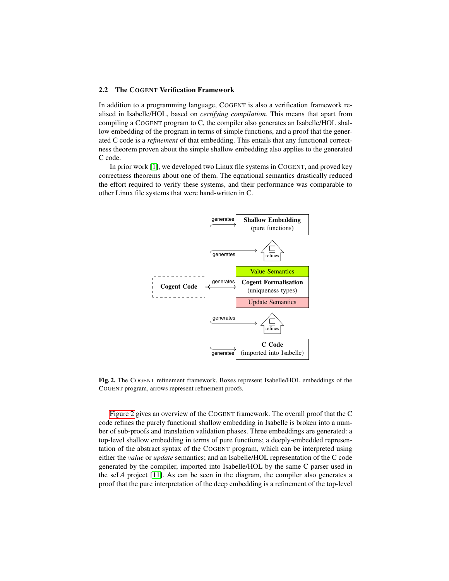#### 2.2 The COGENT Verification Framework

In addition to a programming language, COGENT is also a verification framework realised in Isabelle/HOL, based on *certifying compilation*. This means that apart from compiling a COGENT program to C, the compiler also generates an Isabelle/HOL shallow embedding of the program in terms of simple functions, and a proof that the generated C code is a *refinement* of that embedding. This entails that any functional correctness theorem proven about the simple shallow embedding also applies to the generated C code.

In prior work [\[1\]](#page-14-0), we developed two Linux file systems in COGENT, and proved key correctness theorems about one of them. The equational semantics drastically reduced the effort required to verify these systems, and their performance was comparable to other Linux file systems that were hand-written in C.



<span id="page-4-0"></span>Fig. 2. The COGENT refinement framework. Boxes represent Isabelle/HOL embeddings of the COGENT program, arrows represent refinement proofs.

[Figure 2](#page-4-0) gives an overview of the COGENT framework. The overall proof that the C code refines the purely functional shallow embedding in Isabelle is broken into a number of sub-proofs and translation validation phases. Three embeddings are generated: a top-level shallow embedding in terms of pure functions; a deeply-embedded representation of the abstract syntax of the COGENT program, which can be interpreted using either the *value* or *update* semantics; and an Isabelle/HOL representation of the C code generated by the compiler, imported into Isabelle/HOL by the same C parser used in the seL4 project [\[11\]](#page-14-1). As can be seen in the diagram, the compiler also generates a proof that the pure interpretation of the deep embedding is a refinement of the top-level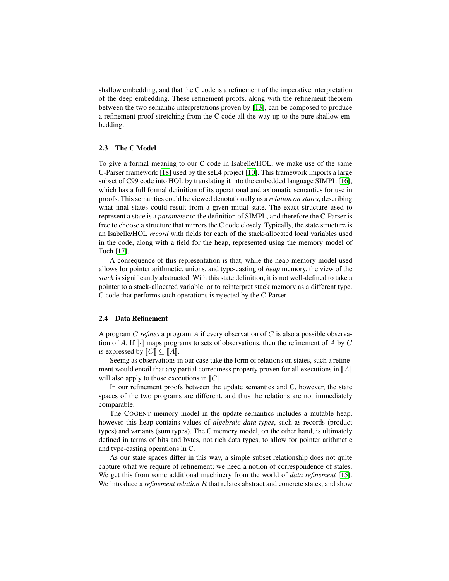shallow embedding, and that the C code is a refinement of the imperative interpretation of the deep embedding. These refinement proofs, along with the refinement theorem between the two semantic interpretations proven by [\[13\]](#page-15-0), can be composed to produce a refinement proof stretching from the C code all the way up to the pure shallow embedding.

#### <span id="page-5-0"></span>2.3 The C Model

To give a formal meaning to our C code in Isabelle/HOL, we make use of the same C-Parser framework [\[18\]](#page-15-1) used by the seL4 project [\[10\]](#page-14-2). This framework imports a large subset of C99 code into HOL by translating it into the embedded language SIMPL [\[16\]](#page-15-2), which has a full formal definition of its operational and axiomatic semantics for use in proofs. This semantics could be viewed denotationally as a *relation on states*, describing what final states could result from a given initial state. The exact structure used to represent a state is a *parameter* to the definition of SIMPL, and therefore the C-Parser is free to choose a structure that mirrors the C code closely. Typically, the state structure is an Isabelle/HOL *record* with fields for each of the stack-allocated local variables used in the code, along with a field for the heap, represented using the memory model of Tuch [\[17\]](#page-15-3).

A consequence of this representation is that, while the heap memory model used allows for pointer arithmetic, unions, and type-casting of *heap* memory, the view of the *stack* is significantly abstracted. With this state definition, it is not well-defined to take a pointer to a stack-allocated variable, or to reinterpret stack memory as a different type. C code that performs such operations is rejected by the C-Parser.

#### 2.4 Data Refinement

A program C *refines* a program A if every observation of C is also a possible observation of A. If  $\lbrack \cdot \rbrack$  maps programs to sets of observations, then the refinement of A by C is expressed by  $\llbracket C \rrbracket \subseteq \llbracket A \rrbracket$ .

Seeing as observations in our case take the form of relations on states, such a refinement would entail that any partial correctness property proven for all executions in  $\Vert A \Vert$ will also apply to those executions in  $\llbracket C \rrbracket$ .

In our refinement proofs between the update semantics and C, however, the state spaces of the two programs are different, and thus the relations are not immediately comparable.

The COGENT memory model in the update semantics includes a mutable heap, however this heap contains values of *algebraic data types*, such as records (product types) and variants (sum types). The C memory model, on the other hand, is ultimately defined in terms of bits and bytes, not rich data types, to allow for pointer arithmetic and type-casting operations in C.

As our state spaces differ in this way, a simple subset relationship does not quite capture what we require of refinement; we need a notion of correspondence of states. We get this from some additional machinery from the world of *data refinement* [\[15\]](#page-15-4). We introduce a *refinement relation* R that relates abstract and concrete states, and show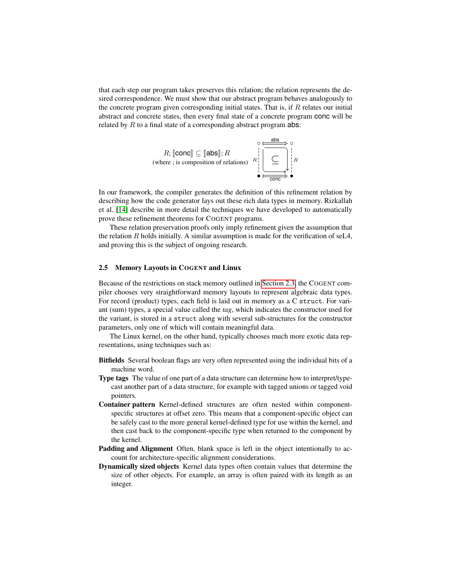that each step our program takes preserves this relation; the relation represents the desired correspondence. We must show that our abstract program behaves analogously to the concrete program given corresponding initial states. That is, if  $R$  relates our initial abstract and concrete states, then every final state of a concrete program conc will be related by  $R$  to a final state of a corresponding abstract program  $\text{abs}:$ 



In our framework, the compiler generates the definition of this refinement relation by describing how the code generator lays out these rich data types in memory. Rizkallah et al. [\[14\]](#page-15-5) describe in more detail the techniques we have developed to automatically prove these refinement theorems for COGENT programs.

These relation preservation proofs only imply refinement given the assumption that the relation R holds initially. A similar assumption is made for the verification of seL4, and proving this is the subject of ongoing research.

#### <span id="page-6-0"></span>2.5 Memory Layouts in COGENT and Linux

Because of the restrictions on stack memory outlined in [Section 2.3,](#page-5-0) the COGENT compiler chooses very straightforward memory layouts to represent algebraic data types. For record (product) types, each field is laid out in memory as a C struct. For variant (sum) types, a special value called the *tag*, which indicates the constructor used for the variant, is stored in a struct along with several sub-structures for the constructor parameters, only one of which will contain meaningful data.

The Linux kernel, on the other hand, typically chooses much more exotic data representations, using techniques such as:

- Bitfields Several boolean flags are very often represented using the individual bits of a machine word.
- Type tags The value of one part of a data structure can determine how to interpret/typecast another part of a data structure, for example with tagged unions or tagged void pointers.
- Container pattern Kernel-defined structures are often nested within componentspecific structures at offset zero. This means that a component-specific object can be safely cast to the more general kernel-defined type for use within the kernel, and then cast back to the component-specific type when returned to the component by the kernel.
- Padding and Alignment Often, blank space is left in the object intentionally to account for architecture-specific alignment considerations.
- Dynamically sized objects Kernel data types often contain values that determine the size of other objects. For example, an array is often paired with its length as an integer.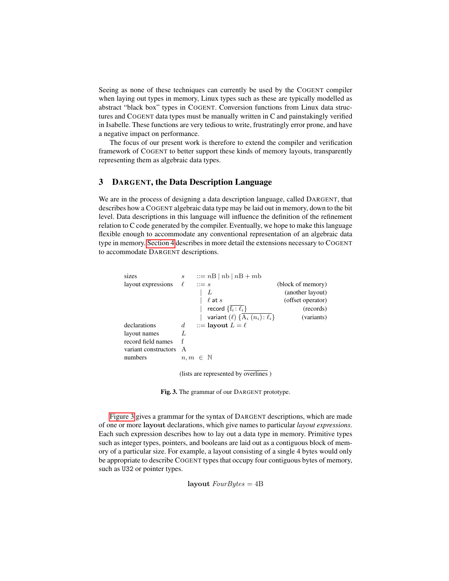Seeing as none of these techniques can currently be used by the COGENT compiler when laying out types in memory, Linux types such as these are typically modelled as abstract "black box" types in COGENT. Conversion functions from Linux data structures and COGENT data types must be manually written in C and painstakingly verified in Isabelle. These functions are very tedious to write, frustratingly error prone, and have a negative impact on performance.

The focus of our present work is therefore to extend the compiler and verification framework of COGENT to better support these kinds of memory layouts, transparently representing them as algebraic data types.

#### <span id="page-7-0"></span>3 DARGENT, the Data Description Language

We are in the process of designing a data description language, called DARGENT, that describes how a COGENT algebraic data type may be laid out in memory, down to the bit level. Data descriptions in this language will influence the definition of the refinement relation to C code generated by the compiler. Eventually, we hope to make this language flexible enough to accommodate any conventional representation of an algebraic data type in memory. [Section 4](#page-9-0) describes in more detail the extensions necessary to COGENT to accommodate DARGENT descriptions.

| layout expressions<br>$\ell$<br>$\therefore = s$<br>L<br>$\ell$ at $s$<br>record $\{\overline{f_i : \ell_i}\}$<br>variant ( $\ell$ ) { $\overline{A_i(n_i):\ell_i}$ }<br>::= layout $L = \ell$<br>declarations<br>$d_{\cdot}$<br>L<br>layout names<br>record field names<br>f<br>variant constructors<br>A<br>numbers<br>$\in N$<br>n, m | sizes | $\boldsymbol{s}$ | $ ::= nB   nb   nB + mb$ |                   |
|------------------------------------------------------------------------------------------------------------------------------------------------------------------------------------------------------------------------------------------------------------------------------------------------------------------------------------------|-------|------------------|--------------------------|-------------------|
|                                                                                                                                                                                                                                                                                                                                          |       |                  |                          | (block of memory) |
|                                                                                                                                                                                                                                                                                                                                          |       |                  |                          | (another layout)  |
|                                                                                                                                                                                                                                                                                                                                          |       |                  |                          | (offset operator) |
|                                                                                                                                                                                                                                                                                                                                          |       |                  |                          | (records)         |
|                                                                                                                                                                                                                                                                                                                                          |       |                  |                          | (variants)        |
|                                                                                                                                                                                                                                                                                                                                          |       |                  |                          |                   |
|                                                                                                                                                                                                                                                                                                                                          |       |                  |                          |                   |
|                                                                                                                                                                                                                                                                                                                                          |       |                  |                          |                   |
|                                                                                                                                                                                                                                                                                                                                          |       |                  |                          |                   |
|                                                                                                                                                                                                                                                                                                                                          |       |                  |                          |                   |

<span id="page-7-1"></span>(lists are represented by overlines)

Fig. 3. The grammar of our DARGENT prototype.

[Figure 3](#page-7-1) gives a grammar for the syntax of DARGENT descriptions, which are made of one or more layout declarations, which give names to particular *layout expressions*. Each such expression describes how to lay out a data type in memory. Primitive types such as integer types, pointers, and booleans are laid out as a contiguous block of memory of a particular size. For example, a layout consisting of a single 4 bytes would only be appropriate to describe COGENT types that occupy four contiguous bytes of memory, such as U32 or pointer types.

layout  $FourBytes = 4B$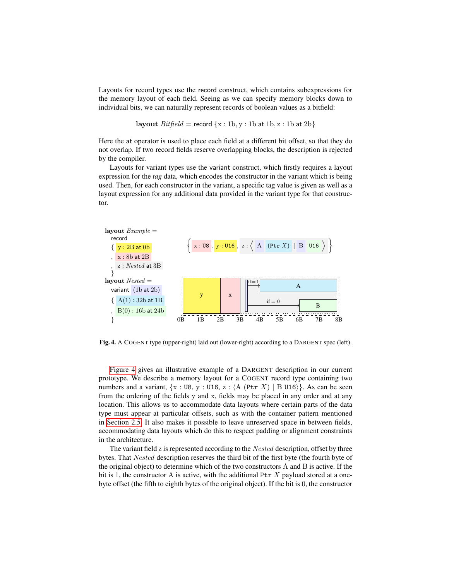Layouts for record types use the record construct, which contains subexpressions for the memory layout of each field. Seeing as we can specify memory blocks down to individual bits, we can naturally represent records of boolean values as a bitfield:

 **layout** *Bitfield* = record {
$$
x : 1b, y : 1b
$$
 at 1b, z : 1b at 2b}

Here the at operator is used to place each field at a different bit offset, so that they do not overlap. If two record fields reserve overlapping blocks, the description is rejected by the compiler.

Layouts for variant types use the variant construct, which firstly requires a layout expression for the *tag* data, which encodes the constructor in the variant which is being used. Then, for each constructor in the variant, a specific tag value is given as well as a layout expression for any additional data provided in the variant type for that constructor.



<span id="page-8-0"></span>Fig. 4. A COGENT type (upper-right) laid out (lower-right) according to a DARGENT spec (left).

[Figure 4](#page-8-0) gives an illustrative example of a DARGENT description in our current prototype. We describe a memory layout for a COGENT record type containing two numbers and a variant,  $\{x : \text{UB}, y : \text{UI6}, z : \langle A (\text{Ptr } X) | B \text{UI6}\rangle\}$ . As can be seen from the ordering of the fields y and x, fields may be placed in any order and at any location. This allows us to accommodate data layouts where certain parts of the data type must appear at particular offsets, such as with the container pattern mentioned in [Section 2.5.](#page-6-0) It also makes it possible to leave unreserved space in between fields, accommodating data layouts which do this to respect padding or alignment constraints in the architecture.

The variant field z is represented according to the *Nested* description, offset by three bytes. That Nested description reserves the third bit of the first byte (the fourth byte of the original object) to determine which of the two constructors A and B is active. If the bit is 1, the constructor A is active, with the additional Ptr  $X$  payload stored at a onebyte offset (the fifth to eighth bytes of the original object). If the bit is 0, the constructor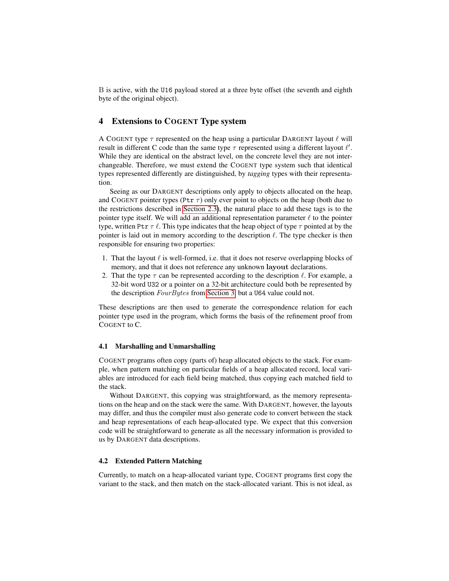B is active, with the U16 payload stored at a three byte offset (the seventh and eighth byte of the original object).

### <span id="page-9-0"></span>4 Extensions to COGENT Type system

A COGENT type  $\tau$  represented on the heap using a particular DARGENT layout  $\ell$  will result in different C code than the same type  $\tau$  represented using a different layout  $\ell'$ . While they are identical on the abstract level, on the concrete level they are not interchangeable. Therefore, we must extend the COGENT type system such that identical types represented differently are distinguished, by *tagging* types with their representation.

Seeing as our DARGENT descriptions only apply to objects allocated on the heap, and COGENT pointer types (Ptr  $\tau$ ) only ever point to objects on the heap (both due to the restrictions described in [Section 2.3\)](#page-5-0), the natural place to add these tags is to the pointer type itself. We will add an additional representation parameter  $\ell$  to the pointer type, written Ptr  $\tau \ell$ . This type indicates that the heap object of type  $\tau$  pointed at by the pointer is laid out in memory according to the description  $\ell$ . The type checker is then responsible for ensuring two properties:

- 1. That the layout  $\ell$  is well-formed, i.e. that it does not reserve overlapping blocks of memory, and that it does not reference any unknown layout declarations.
- 2. That the type  $\tau$  can be represented according to the description  $\ell$ . For example, a 32-bit word U32 or a pointer on a 32-bit architecture could both be represented by the description  $FourBytes$  from [Section 3,](#page-7-0) but a U64 value could not.

These descriptions are then used to generate the correspondence relation for each pointer type used in the program, which forms the basis of the refinement proof from COGENT to C.

#### 4.1 Marshalling and Unmarshalling

COGENT programs often copy (parts of) heap allocated objects to the stack. For example, when pattern matching on particular fields of a heap allocated record, local variables are introduced for each field being matched, thus copying each matched field to the stack.

Without DARGENT, this copying was straightforward, as the memory representations on the heap and on the stack were the same. With DARGENT, however, the layouts may differ, and thus the compiler must also generate code to convert between the stack and heap representations of each heap-allocated type. We expect that this conversion code will be straightforward to generate as all the necessary information is provided to us by DARGENT data descriptions.

#### 4.2 Extended Pattern Matching

Currently, to match on a heap-allocated variant type, COGENT programs first copy the variant to the stack, and then match on the stack-allocated variant. This is not ideal, as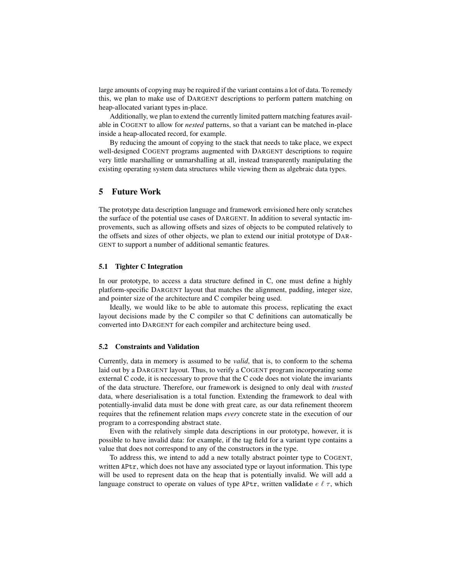large amounts of copying may be required if the variant contains a lot of data. To remedy this, we plan to make use of DARGENT descriptions to perform pattern matching on heap-allocated variant types in-place.

Additionally, we plan to extend the currently limited pattern matching features available in COGENT to allow for *nested* patterns, so that a variant can be matched in-place inside a heap-allocated record, for example.

By reducing the amount of copying to the stack that needs to take place, we expect well-designed COGENT programs augmented with DARGENT descriptions to require very little marshalling or unmarshalling at all, instead transparently manipulating the existing operating system data structures while viewing them as algebraic data types.

#### 5 Future Work

The prototype data description language and framework envisioned here only scratches the surface of the potential use cases of DARGENT. In addition to several syntactic improvements, such as allowing offsets and sizes of objects to be computed relatively to the offsets and sizes of other objects, we plan to extend our initial prototype of DAR-GENT to support a number of additional semantic features.

#### 5.1 Tighter C Integration

In our prototype, to access a data structure defined in C, one must define a highly platform-specific DARGENT layout that matches the alignment, padding, integer size, and pointer size of the architecture and C compiler being used.

Ideally, we would like to be able to automate this process, replicating the exact layout decisions made by the C compiler so that C definitions can automatically be converted into DARGENT for each compiler and architecture being used.

#### 5.2 Constraints and Validation

Currently, data in memory is assumed to be *valid*, that is, to conform to the schema laid out by a DARGENT layout. Thus, to verify a COGENT program incorporating some external C code, it is neccessary to prove that the C code does not violate the invariants of the data structure. Therefore, our framework is designed to only deal with *trusted* data, where deserialisation is a total function. Extending the framework to deal with potentially-invalid data must be done with great care, as our data refinement theorem requires that the refinement relation maps *every* concrete state in the execution of our program to a corresponding abstract state.

Even with the relatively simple data descriptions in our prototype, however, it is possible to have invalid data: for example, if the tag field for a variant type contains a value that does not correspond to any of the constructors in the type.

To address this, we intend to add a new totally abstract pointer type to COGENT, written APtr, which does not have any associated type or layout information. This type will be used to represent data on the heap that is potentially invalid. We will add a language construct to operate on values of type APtr, written validate  $e \ell \tau$ , which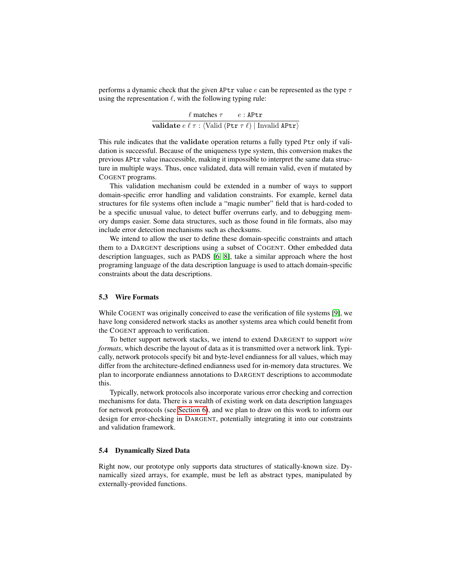performs a dynamic check that the given APtr value e can be represented as the type  $\tau$ using the representation  $\ell$ , with the following typing rule:

> $\ell$  matches  $\tau$  e : APtr validate  $e \ell \tau$ : (Valid (Ptr  $\tau \ell$ ) | Invalid APtr)

This rule indicates that the validate operation returns a fully typed Ptr only if validation is successful. Because of the uniqueness type system, this conversion makes the previous APtr value inaccessible, making it impossible to interpret the same data structure in multiple ways. Thus, once validated, data will remain valid, even if mutated by COGENT programs.

This validation mechanism could be extended in a number of ways to support domain-specific error handling and validation constraints. For example, kernel data structures for file systems often include a "magic number" field that is hard-coded to be a specific unusual value, to detect buffer overruns early, and to debugging memory dumps easier. Some data structures, such as those found in file formats, also may include error detection mechanisms such as checksums.

We intend to allow the user to define these domain-specific constraints and attach them to a DARGENT descriptions using a subset of COGENT. Other embedded data description languages, such as PADS [\[6,](#page-14-3) [8\]](#page-14-4), take a similar approach where the host programing language of the data description language is used to attach domain-specific constraints about the data descriptions.

#### 5.3 Wire Formats

While COGENT was originally conceived to ease the verification of file systems [\[9\]](#page-14-5), we have long considered network stacks as another systems area which could benefit from the COGENT approach to verification.

To better support network stacks, we intend to extend DARGENT to support *wire formats*, which describe the layout of data as it is transmitted over a network link. Typically, network protocols specify bit and byte-level endianness for all values, which may differ from the architecture-defined endianness used for in-memory data structures. We plan to incorporate endianness annotations to DARGENT descriptions to accommodate this.

Typically, network protocols also incorporate various error checking and correction mechanisms for data. There is a wealth of existing work on data description languages for network protocols (see [Section 6\)](#page-12-0), and we plan to draw on this work to inform our design for error-checking in DARGENT, potentially integrating it into our constraints and validation framework.

#### 5.4 Dynamically Sized Data

Right now, our prototype only supports data structures of statically-known size. Dynamically sized arrays, for example, must be left as abstract types, manipulated by externally-provided functions.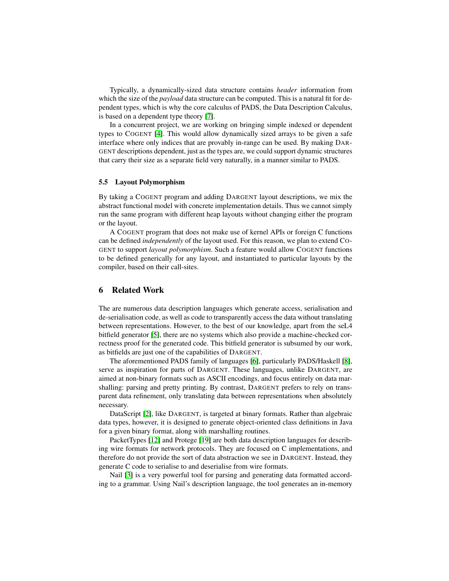Typically, a dynamically-sized data structure contains *header* information from which the size of the *payload* data structure can be computed. This is a natural fit for dependent types, which is why the core calculus of PADS, the Data Description Calculus, is based on a dependent type theory [\[7\]](#page-14-6).

In a concurrent project, we are working on bringing simple indexed or dependent types to COGENT [\[4\]](#page-14-7). This would allow dynamically sized arrays to be given a safe interface where only indices that are provably in-range can be used. By making DAR-GENT descriptions dependent, just as the types are, we could support dynamic structures that carry their size as a separate field very naturally, in a manner similar to PADS.

#### 5.5 Layout Polymorphism

By taking a COGENT program and adding DARGENT layout descriptions, we mix the abstract functional model with concrete implementation details. Thus we cannot simply run the same program with different heap layouts without changing either the program or the layout.

A COGENT program that does not make use of kernel APIs or foreign C functions can be defined *independently* of the layout used. For this reason, we plan to extend CO-GENT to support *layout polymorphism*. Such a feature would allow COGENT functions to be defined generically for any layout, and instantiated to particular layouts by the compiler, based on their call-sites.

### <span id="page-12-0"></span>6 Related Work

The are numerous data description languages which generate access, serialisation and de-serialisation code, as well as code to transparently access the data without translating between representations. However, to the best of our knowledge, apart from the seL4 bitfield generator [\[5\]](#page-14-8), there are no systems which also provide a machine-checked correctness proof for the generated code. This bitfield generator is subsumed by our work, as bitfields are just one of the capabilities of DARGENT.

The aforementioned PADS family of languages [\[6\]](#page-14-3), particularly PADS/Haskell [\[8\]](#page-14-4), serve as inspiration for parts of DARGENT. These languages, unlike DARGENT, are aimed at non-binary formats such as ASCII encodings, and focus entirely on data marshalling: parsing and pretty printing. By contrast, DARGENT prefers to rely on transparent data refinement, only translating data between representations when absolutely necessary.

DataScript [\[2\]](#page-14-9), like DARGENT, is targeted at binary formats. Rather than algebraic data types, however, it is designed to generate object-oriented class definitions in Java for a given binary format, along with marshalling routines.

PacketTypes [\[12\]](#page-14-10) and Protege [\[19\]](#page-15-6) are both data description languages for describing wire formats for network protocols. They are focused on C implementations, and therefore do not provide the sort of data abstraction we see in DARGENT. Instead, they generate C code to serialise to and deserialise from wire formats.

Nail [\[3\]](#page-14-11) is a very powerful tool for parsing and generating data formatted according to a grammar. Using Nail's description language, the tool generates an in-memory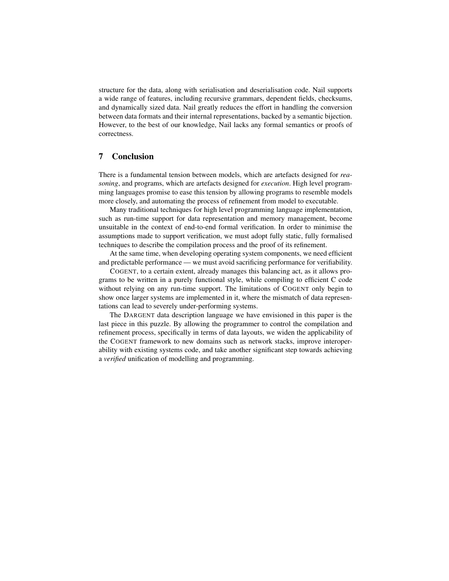structure for the data, along with serialisation and deserialisation code. Nail supports a wide range of features, including recursive grammars, dependent fields, checksums, and dynamically sized data. Nail greatly reduces the effort in handling the conversion between data formats and their internal representations, backed by a semantic bijection. However, to the best of our knowledge, Nail lacks any formal semantics or proofs of correctness.

#### 7 Conclusion

There is a fundamental tension between models, which are artefacts designed for *reasoning*, and programs, which are artefacts designed for *execution*. High level programming languages promise to ease this tension by allowing programs to resemble models more closely, and automating the process of refinement from model to executable.

Many traditional techniques for high level programming language implementation, such as run-time support for data representation and memory management, become unsuitable in the context of end-to-end formal verification. In order to minimise the assumptions made to support verification, we must adopt fully static, fully formalised techniques to describe the compilation process and the proof of its refinement.

At the same time, when developing operating system components, we need efficient and predictable performance — we must avoid sacrificing performance for verifiability.

COGENT, to a certain extent, already manages this balancing act, as it allows programs to be written in a purely functional style, while compiling to efficient C code without relying on any run-time support. The limitations of COGENT only begin to show once larger systems are implemented in it, where the mismatch of data representations can lead to severely under-performing systems.

The DARGENT data description language we have envisioned in this paper is the last piece in this puzzle. By allowing the programmer to control the compilation and refinement process, specifically in terms of data layouts, we widen the applicability of the COGENT framework to new domains such as network stacks, improve interoperability with existing systems code, and take another significant step towards achieving a *verified* unification of modelling and programming.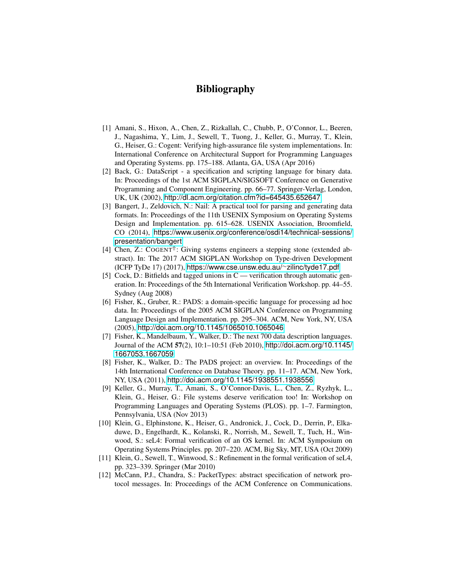## Bibliography

- <span id="page-14-0"></span>[1] Amani, S., Hixon, A., Chen, Z., Rizkallah, C., Chubb, P., O'Connor, L., Beeren, J., Nagashima, Y., Lim, J., Sewell, T., Tuong, J., Keller, G., Murray, T., Klein, G., Heiser, G.: Cogent: Verifying high-assurance file system implementations. In: International Conference on Architectural Support for Programming Languages and Operating Systems. pp. 175–188. Atlanta, GA, USA (Apr 2016)
- <span id="page-14-9"></span>[2] Back, G.: DataScript - a specification and scripting language for binary data. In: Proceedings of the 1st ACM SIGPLAN/SIGSOFT Conference on Generative Programming and Component Engineering. pp. 66–77. Springer-Verlag, London, UK, UK (2002), <http://dl.acm.org/citation.cfm?id=645435.652647>
- <span id="page-14-11"></span>[3] Bangert, J., Zeldovich, N.: Nail: A practical tool for parsing and generating data formats. In: Proceedings of the 11th USENIX Symposium on Operating Systems Design and Implementation. pp. 615–628. USENIX Association, Broomfield, CO (2014), [https://www.usenix.org/conference/osdi14/technical-sessions/](https://www.usenix.org/conference/osdi14/technical-sessions/ presentation/bangert) [presentation/bangert](https://www.usenix.org/conference/osdi14/technical-sessions/ presentation/bangert)
- <span id="page-14-7"></span>[4] Chen, Z.:  $\text{Cogen} \tau^{\uparrow}$ : Giving systems engineers a stepping stone (extended abstract). In: The 2017 ACM SIGPLAN Workshop on Type-driven Development (ICFP TyDe 17) (2017), [https://www.cse.unsw.edu.au/](https://www.cse.unsw.edu.au/~zilinc/tyde17.pdf)<sup>∼</sup>zilinc/tyde17.pdf
- <span id="page-14-8"></span>[5] Cock, D.: Bitfields and tagged unions in  $C$  — verification through automatic generation. In: Proceedings of the 5th International Verification Workshop. pp. 44–55. Sydney (Aug 2008)
- <span id="page-14-3"></span>[6] Fisher, K., Gruber, R.: PADS: a domain-specific language for processing ad hoc data. In: Proceedings of the 2005 ACM SIGPLAN Conference on Programming Language Design and Implementation. pp. 295–304. ACM, New York, NY, USA (2005), <http://doi.acm.org/10.1145/1065010.1065046>
- <span id="page-14-6"></span>[7] Fisher, K., Mandelbaum, Y., Walker, D.: The next 700 data description languages. Journal of the ACM 57(2), 10:1–10:51 (Feb 2010), [http://doi.acm.org/10.1145/](http://doi.acm.org/10.1145/1667053.1667059) [1667053.1667059](http://doi.acm.org/10.1145/1667053.1667059)
- <span id="page-14-4"></span>[8] Fisher, K., Walker, D.: The PADS project: an overview. In: Proceedings of the 14th International Conference on Database Theory. pp. 11–17. ACM, New York, NY, USA (2011), <http://doi.acm.org/10.1145/1938551.1938556>
- <span id="page-14-5"></span>[9] Keller, G., Murray, T., Amani, S., O'Connor-Davis, L., Chen, Z., Ryzhyk, L., Klein, G., Heiser, G.: File systems deserve verification too! In: Workshop on Programming Languages and Operating Systems (PLOS). pp. 1–7. Farmington, Pennsylvania, USA (Nov 2013)
- <span id="page-14-2"></span>[10] Klein, G., Elphinstone, K., Heiser, G., Andronick, J., Cock, D., Derrin, P., Elkaduwe, D., Engelhardt, K., Kolanski, R., Norrish, M., Sewell, T., Tuch, H., Winwood, S.: seL4: Formal verification of an OS kernel. In: ACM Symposium on Operating Systems Principles. pp. 207–220. ACM, Big Sky, MT, USA (Oct 2009)
- <span id="page-14-1"></span>[11] Klein, G., Sewell, T., Winwood, S.: Refinement in the formal verification of seL4, pp. 323–339. Springer (Mar 2010)
- <span id="page-14-10"></span>[12] McCann, P.J., Chandra, S.: PacketTypes: abstract specification of network protocol messages. In: Proceedings of the ACM Conference on Communications.